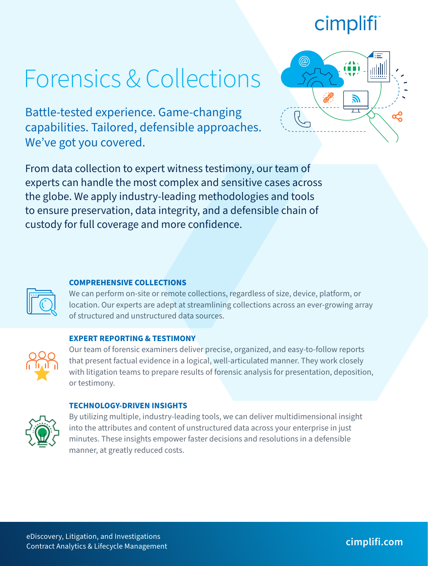## cimplifi

# Forensics & Collections

Battle-tested experience. Game-changing capabilities. Tailored, defensible approaches. We've got you covered.

From data collection to expert witness testimony, our team of experts can handle the most complex and sensitive cases across the globe. We apply industry-leading methodologies and tools to ensure preservation, data integrity, and a defensible chain of custody for full coverage and more confidence.



#### **COMPREHENSIVE COLLECTIONS**

We can perform on-site or remote collections, regardless of size, device, platform, or location. Our experts are adept at streamlining collections across an ever-growing array of structured and unstructured data sources.

#### **EXPERT REPORTING & TESTIMONY**



Our team of forensic examiners deliver precise, organized, and easy-to-follow reports that present factual evidence in a logical, well-articulated manner. They work closely with litigation teams to prepare results of forensic analysis for presentation, deposition, or testimony.

#### **TECHNOLOGY-DRIVEN INSIGHTS**



By utilizing multiple, industry-leading tools, we can deliver multidimensional insight into the attributes and content of unstructured data across your enterprise in just minutes. These insights empower faster decisions and resolutions in a defensible manner, at greatly reduced costs.